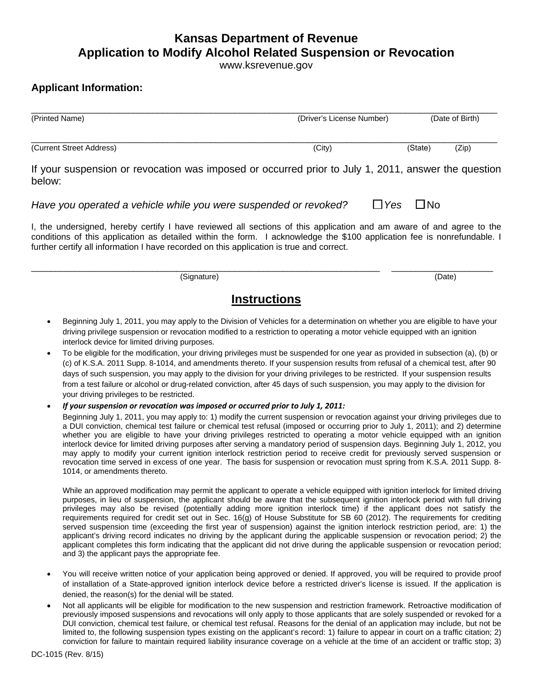## **Kansas Department of Revenue Application to Modify Alcohol Related Suspension or Revocation**

www.ksrevenue.gov

 $\Box$ 

## **Applicant Information:**

| (Printed Name)                                                                                                                                                                                                                                                                                                                              | (Driver's License Number) |           | (Date of Birth) |  |
|---------------------------------------------------------------------------------------------------------------------------------------------------------------------------------------------------------------------------------------------------------------------------------------------------------------------------------------------|---------------------------|-----------|-----------------|--|
| (Current Street Address)                                                                                                                                                                                                                                                                                                                    | (City)                    | (State)   | (Zip)           |  |
| If your suspension or revocation was imposed or occurred prior to July 1, 2011, answer the question<br>below:                                                                                                                                                                                                                               |                           |           |                 |  |
| Have you operated a vehicle while you were suspended or revoked?                                                                                                                                                                                                                                                                            | $\Box$ Yes                | $\Box$ No |                 |  |
| I, the undersigned, hereby certify I have reviewed all sections of this application and am aware of and agree to the<br>conditions of this application as detailed within the form. I acknowledge the \$100 application fee is nonrefundable. I<br>further certify all information I have recorded on this application is true and correct. |                           |           |                 |  |

(Signature) (Date)

## **Instructions**

- Beginning July 1, 2011, you may apply to the Division of Vehicles for a determination on whether you are eligible to have your driving privilege suspension or revocation modified to a restriction to operating a motor vehicle equipped with an ignition interlock device for limited driving purposes.
- To be eligible for the modification, your driving privileges must be suspended for one year as provided in subsection (a), (b) or (c) of K.S.A. 2011 Supp. 8-1014, and amendments thereto. If your suspension results from refusal of a chemical test, after 90 days of such suspension, you may apply to the division for your driving privileges to be restricted. If your suspension results from a test failure or alcohol or drug-related conviction, after 45 days of such suspension, you may apply to the division for your driving privileges to be restricted.

• *If your suspension or revocation was imposed or occurred prior to July 1, 2011:*

Beginning July 1, 2011, you may apply to: 1) modify the current suspension or revocation against your driving privileges due to a DUI conviction, chemical test failure or chemical test refusal (imposed or occurring prior to July 1, 2011); and 2) determine whether you are eligible to have your driving privileges restricted to operating a motor vehicle equipped with an ignition interlock device for limited driving purposes after serving a mandatory period of suspension days. Beginning July 1, 2012, you may apply to modify your current ignition interlock restriction period to receive credit for previously served suspension or revocation time served in excess of one year. The basis for suspension or revocation must spring from K.S.A. 2011 Supp. 8- 1014, or amendments thereto.

While an approved modification may permit the applicant to operate a vehicle equipped with ignition interlock for limited driving purposes, in lieu of suspension, the applicant should be aware that the subsequent ignition interlock period with full driving privileges may also be revised (potentially adding more ignition interlock time) if the applicant does not satisfy the requirements required for credit set out in Sec. 16(g) of House Substitute for SB 60 (2012). The requirements for crediting served suspension time (exceeding the first year of suspension) against the ignition interlock restriction period, are: 1) the applicant's driving record indicates no driving by the applicant during the applicable suspension or revocation period; 2) the applicant completes this form indicating that the applicant did not drive during the applicable suspension or revocation period; and 3) the applicant pays the appropriate fee.

- You will receive written notice of your application being approved or denied. If approved, you will be required to provide proof of installation of a State-approved ignition interlock device before a restricted driver's license is issued. If the application is denied, the reason(s) for the denial will be stated.
- Not all applicants will be eligible for modification to the new suspension and restriction framework. Retroactive modification of previously imposed suspensions and revocations will only apply to those applicants that are solely suspended or revoked for a DUI conviction, chemical test failure, or chemical test refusal. Reasons for the denial of an application may include, but not be limited to, the following suspension types existing on the applicant's record: 1) failure to appear in court on a traffic citation; 2) conviction for failure to maintain required liability insurance coverage on a vehicle at the time of an accident or traffic stop; 3)